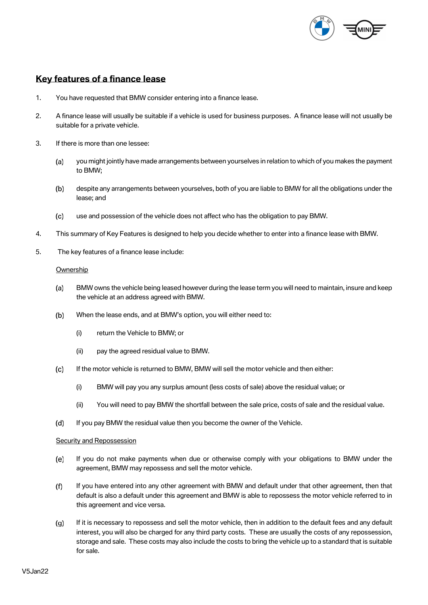

# **Key features of a finance lease**

- 1. You have requested that BMW consider entering into a finance lease.
- 2. A finance lease will usually be suitable if a vehicle is used for business purposes. A finance lease will not usually be suitable for a private vehicle.
- 3. If there is more than one lessee:
	- you might jointly have made arrangements between yourselves in relation to which of you makes the payment  $(a)$ to BMW;
	- despite any arrangements between yourselves, both of you are liable to BMW for all the obligations under the  $(b)$ lease; and
	- $(c)$ use and possession of the vehicle does not affect who has the obligation to pay BMW.
- 4. This summary of Key Features is designed to help you decide whether to enter into a finance lease with BMW.
- 5. The key features of a finance lease include:

## **Ownership**

- BMW owns the vehicle being leased however during the lease term you will need to maintain, insure and keep  $(a)$ the vehicle at an address agreed with BMW.
- When the lease ends, and at BMW's option, you will either need to:  $(b)$ 
	- (i) return the Vehicle to BMW; or
	- (ii) pay the agreed residual value to BMW.
- $(c)$ If the motor vehicle is returned to BMW, BMW will sell the motor vehicle and then either:
	- (i) BMW will pay you any surplus amount (less costs of sale) above the residual value; or
	- (ii) You will need to pay BMW the shortfall between the sale price, costs of sale and the residual value.
- $(d)$ If you pay BMW the residual value then you become the owner of the Vehicle.

#### Security and Repossession

- $(e)$ If you do not make payments when due or otherwise comply with your obligations to BMW under the agreement, BMW may repossess and sell the motor vehicle.
- $(f)$ If you have entered into any other agreement with BMW and default under that other agreement, then that default is also a default under this agreement and BMW is able to repossess the motor vehicle referred to in this agreement and vice versa.
- $(q)$ If it is necessary to repossess and sell the motor vehicle, then in addition to the default fees and any default interest, you will also be charged for any third party costs. These are usually the costs of any repossession, storage and sale. These costs may also include the costs to bring the vehicle up to a standard that is suitable for sale.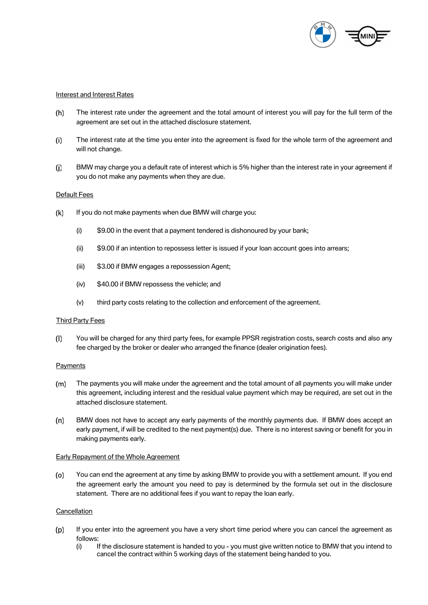

## Interest and Interest Rates

- $(h)$ The interest rate under the agreement and the total amount of interest you will pay for the full term of the agreement are set out in the attached disclosure statement.
- The interest rate at the time you enter into the agreement is fixed for the whole term of the agreement and  $(i)$ will not change.
- BMW may charge you a default rate of interest which is 5% higher than the interest rate in your agreement if  $(i)$ you do not make any payments when they are due.

## Default Fees

- $(k)$ If you do not make payments when due BMW will charge you:
	- (i) \$9.00 in the event that a payment tendered is dishonoured by your bank;
	- (ii) \$9.00 if an intention to repossess letter is issued if your loan account goes into arrears;
	- (iii) \$3.00 if BMW engages a repossession Agent;
	- (iv) \$40.00 if BMW repossess the vehicle; and
	- (v) third party costs relating to the collection and enforcement of the agreement.

#### Third Party Fees

 $(1)$ You will be charged for any third party fees, for example PPSR registration costs, search costs and also any fee charged by the broker or dealer who arranged the finance (dealer origination fees).

#### **Payments**

- $(m)$ The payments you will make under the agreement and the total amount of all payments you will make under this agreement, including interest and the residual value payment which may be required, are set out in the attached disclosure statement.
- $(n)$ BMW does not have to accept any early payments of the monthly payments due. If BMW does accept an early payment, if will be credited to the next payment(s) due. There is no interest saving or benefit for you in making payments early.

#### Early Repayment of the Whole Agreement

You can end the agreement at any time by asking BMW to provide you with a settlement amount. If you end  $(o)$ the agreement early the amount you need to pay is determined by the formula set out in the disclosure statement. There are no additional fees if you want to repay the loan early.

# **Cancellation**

- $(p)$ If you enter into the agreement you have a very short time period where you can cancel the agreement as follows:<br>(i) l
	- If the disclosure statement is handed to you you must give written notice to BMW that you intend to cancel the contract within 5 working days of the statement being handed to you.